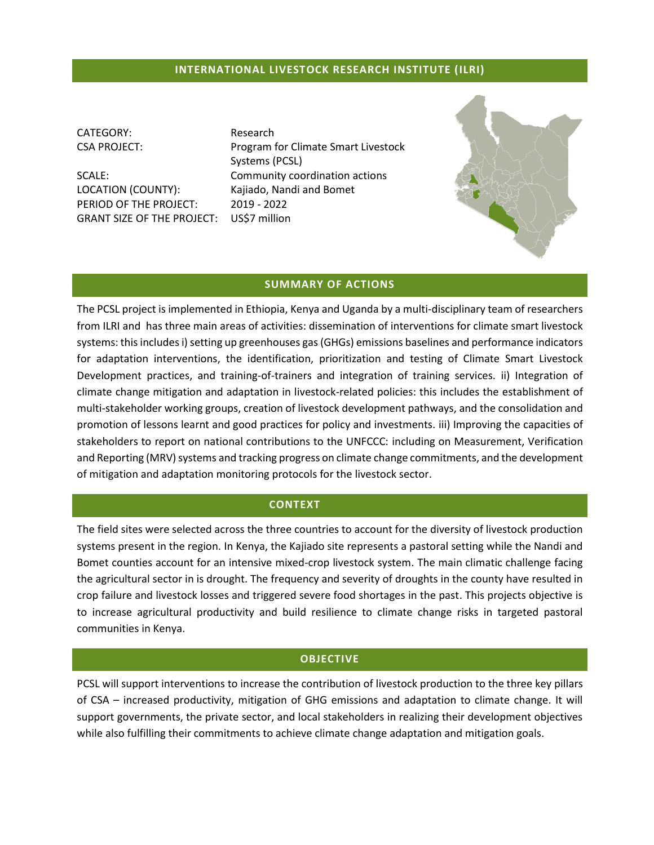### **INTERNATIONAL LIVESTOCK RESEARCH INSTITUTE (ILRI)**

CATEGORY: Research

LOCATION (COUNTY): Kajiado, Nandi and Bomet PERIOD OF THE PROJECT: 2019 - 2022 GRANT SIZE OF THE PROJECT: US\$7 million

CSA PROJECT: Program for Climate Smart Livestock Systems (PCSL) SCALE: Community coordination actions



#### **SUMMARY OF ACTIONS**

The PCSL project is implemented in Ethiopia, Kenya and Uganda by a multi-disciplinary team of researchers from ILRI and has three main areas of activities: dissemination of interventions for climate smart livestock systems: this includes i) setting up greenhouses gas (GHGs) emissions baselines and performance indicators for adaptation interventions, the identification, prioritization and testing of Climate Smart Livestock Development practices, and training-of-trainers and integration of training services. ii) Integration of climate change mitigation and adaptation in livestock-related policies: this includes the establishment of multi-stakeholder working groups, creation of livestock development pathways, and the consolidation and promotion of lessons learnt and good practices for policy and investments. iii) Improving the capacities of stakeholders to report on national contributions to the UNFCCC: including on Measurement, Verification and Reporting (MRV) systems and tracking progress on climate change commitments, and the development of mitigation and adaptation monitoring protocols for the livestock sector.

#### **CONTEXT**

The field sites were selected across the three countries to account for the diversity of livestock production systems present in the region. In Kenya, the Kajiado site represents a pastoral setting while the Nandi and Bomet counties account for an intensive mixed-crop livestock system. The main climatic challenge facing the agricultural sector in is drought. The frequency and severity of droughts in the county have resulted in crop failure and livestock losses and triggered severe food shortages in the past. This projects objective is to increase agricultural productivity and build resilience to climate change risks in targeted pastoral communities in Kenya.

#### **OBJECTIVE**

PCSL will support interventions to increase the contribution of livestock production to the three key pillars of CSA – increased productivity, mitigation of GHG emissions and adaptation to climate change. It will support governments, the private sector, and local stakeholders in realizing their development objectives while also fulfilling their commitments to achieve climate change adaptation and mitigation goals.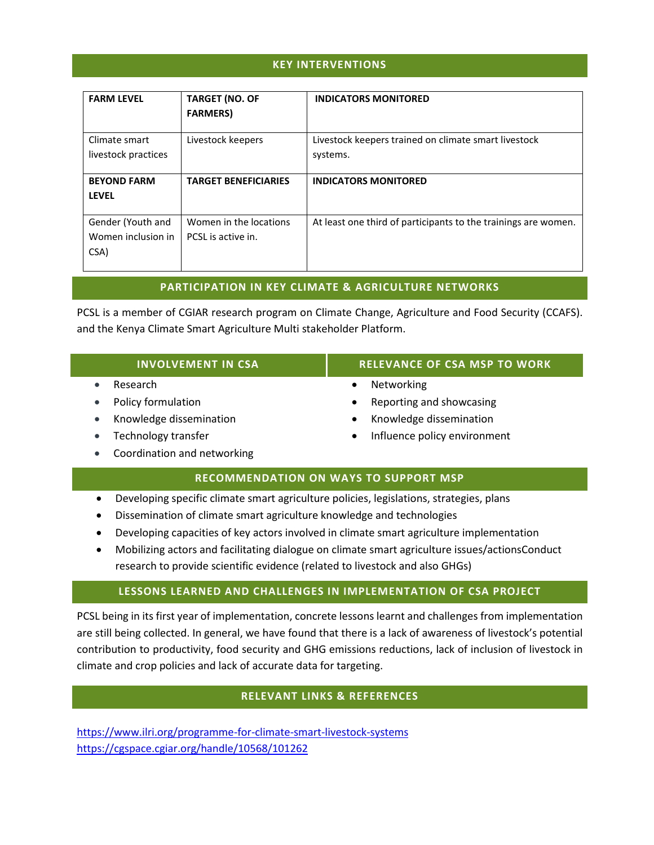# **KEY INTERVENTIONS**

| <b>FARM LEVEL</b>   | <b>TARGET (NO. OF</b><br><b>FARMERS</b> ) | <b>INDICATORS MONITORED</b>                                    |
|---------------------|-------------------------------------------|----------------------------------------------------------------|
| Climate smart       | Livestock keepers                         | Livestock keepers trained on climate smart livestock           |
| livestock practices |                                           | systems.                                                       |
| <b>BEYOND FARM</b>  | <b>TARGET BENEFICIARIES</b>               | <b>INDICATORS MONITORED</b>                                    |
| <b>LEVEL</b>        |                                           |                                                                |
| Gender (Youth and   | Women in the locations                    | At least one third of participants to the trainings are women. |
| Women inclusion in  | PCSL is active in.                        |                                                                |
| CSA)                |                                           |                                                                |

# **PARTICIPATION IN KEY CLIMATE & AGRICULTURE NETWORKS**

PCSL is a member of CGIAR research program on Climate Change, Agriculture and Food Security (CCAFS). and the Kenya Climate Smart Agriculture Multi stakeholder Platform.

|                                              | <b>INVOLVEMENT IN CSA</b>   | <b>RELEVANCE OF CSA MSP TO WORK</b>       |  |  |
|----------------------------------------------|-----------------------------|-------------------------------------------|--|--|
|                                              | Research                    | Networking<br>٠                           |  |  |
| $\bullet$                                    | Policy formulation          | Reporting and showcasing<br>$\bullet$     |  |  |
| $\bullet$                                    | Knowledge dissemination     | Knowledge dissemination<br>$\bullet$      |  |  |
| $\bullet$                                    | Technology transfer         | Influence policy environment<br>$\bullet$ |  |  |
| $\bullet$                                    | Coordination and networking |                                           |  |  |
| <b>RECOMMENDATION ON WAYS TO SUPPORT MSP</b> |                             |                                           |  |  |

- Developing specific climate smart agriculture policies, legislations, strategies, plans
- Dissemination of climate smart agriculture knowledge and technologies
- Developing capacities of key actors involved in climate smart agriculture implementation
- Mobilizing actors and facilitating dialogue on climate smart agriculture issues/actionsConduct research to provide scientific evidence (related to livestock and also GHGs)

### **LESSONS LEARNED AND CHALLENGES IN IMPLEMENTATION OF CSA PROJECT**

PCSL being in its first year of implementation, concrete lessons learnt and challenges from implementation are still being collected. In general, we have found that there is a lack of awareness of livestock's potential contribution to productivity, food security and GHG emissions reductions, lack of inclusion of livestock in climate and crop policies and lack of accurate data for targeting.

### **RELEVANT LINKS & REFERENCES**

<https://www.ilri.org/programme-for-climate-smart-livestock-systems> <https://cgspace.cgiar.org/handle/10568/101262>